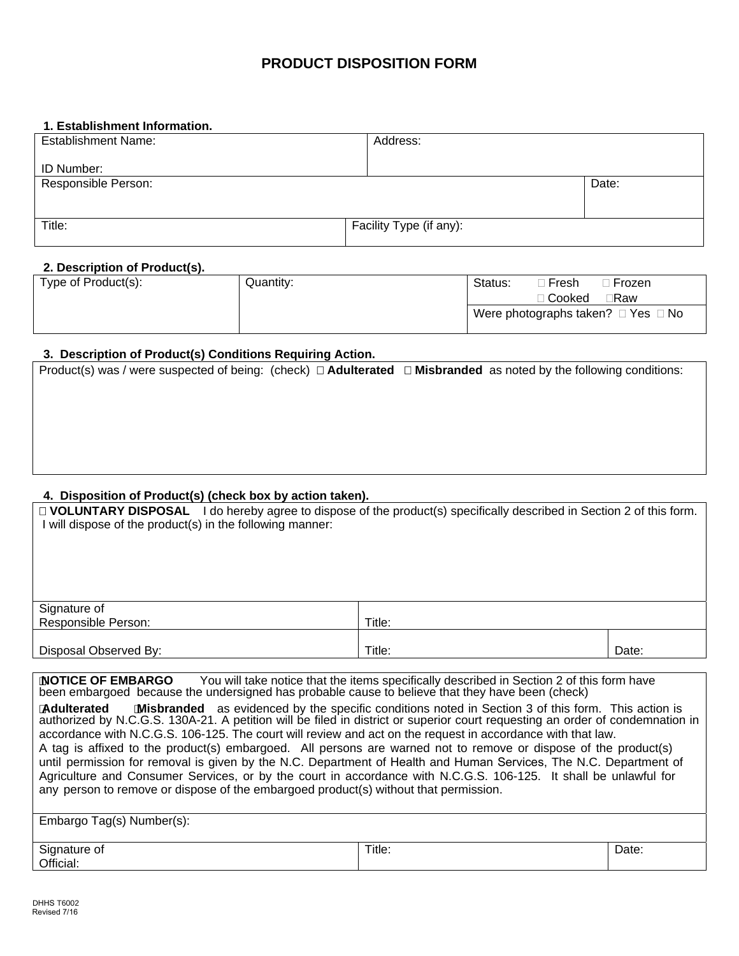### **PRODUCT DISPOSITION FORM**

#### **1. Establishment Information.**

| <b>Establishment Name:</b> | Address:                |       |
|----------------------------|-------------------------|-------|
| ID Number:                 |                         |       |
| Responsible Person:        |                         | Date: |
|                            |                         |       |
| Title:                     | Facility Type (if any): |       |
|                            |                         |       |

### **2. Description of Product(s).**

| Type of Product(s): | Quantity: | Status:<br>ੋ Fresh<br>®Cooked |  | ⊦Frozen<br>∃Raw                              |
|---------------------|-----------|-------------------------------|--|----------------------------------------------|
|                     |           |                               |  | Were photographs taken? $\Box$ Yes $\Box$ No |

# **3. Description of Product(s) Conditions Requiring Action.**

| 3. Description of Product(s) Conditions Requiring Action.                                                                    |  |  |
|------------------------------------------------------------------------------------------------------------------------------|--|--|
| Product(s) was / were suspected of being: (check) $\Box$ Adulterated $\Box$ Misbranded as noted by the following conditions: |  |  |
|                                                                                                                              |  |  |
|                                                                                                                              |  |  |
|                                                                                                                              |  |  |
|                                                                                                                              |  |  |
|                                                                                                                              |  |  |
|                                                                                                                              |  |  |

### **4. Disposition of Product(s) (check box by action taken).**

| □ VOLUNTARY DISPOSAL I do hereby agree to dispose of the product(s) specifically described in Section 2 of this form.<br>I will dispose of the product(s) in the following manner:                                                                                                                                                                                                         |                                                                                                           |       |  |
|--------------------------------------------------------------------------------------------------------------------------------------------------------------------------------------------------------------------------------------------------------------------------------------------------------------------------------------------------------------------------------------------|-----------------------------------------------------------------------------------------------------------|-------|--|
| Signature of                                                                                                                                                                                                                                                                                                                                                                               |                                                                                                           |       |  |
| Responsible Person:                                                                                                                                                                                                                                                                                                                                                                        | Title:                                                                                                    |       |  |
|                                                                                                                                                                                                                                                                                                                                                                                            |                                                                                                           |       |  |
| Disposal Observed By:                                                                                                                                                                                                                                                                                                                                                                      | Title:                                                                                                    | Date: |  |
|                                                                                                                                                                                                                                                                                                                                                                                            |                                                                                                           |       |  |
| <b>INOTICE OF EMBARGO</b><br>You will take notice that the items specifically described in Section 2 of this form have<br>been embargoed because the undersigned has probable cause to believe that they have been (check)                                                                                                                                                                 |                                                                                                           |       |  |
| <b>Adulterated</b><br>authorized by N.C.G.S. 130A-21. A petition will be filed in district or superior court requesting an order of condemnation in<br>accordance with N.C.G.S. 106-125. The court will review and act on the request in accordance with that law.<br>A tau la afficial ta tha unadictive) ambanacad - All management command mat ta nominica ambanaca af the morelistive) | <b>Misbranded</b> as evidenced by the specific conditions noted in Section 3 of this form. This action is |       |  |

A tag is affixed to the product(s) embargoed. All persons are warned not to remove or dispose of the product(s) until permission for removal is given by the N.C. Department of Health and Human Services, The N.C. Department of Agriculture and Consumer Services, or by the court in accordance with N.C.G.S. 106-125. It shall be unlawful for any person to remove or dispose of the embargoed product(s) without that permission.

| Embargo Tag(s) Number(s): |        |       |
|---------------------------|--------|-------|
| Signature of<br>Official: | Title: | Date: |